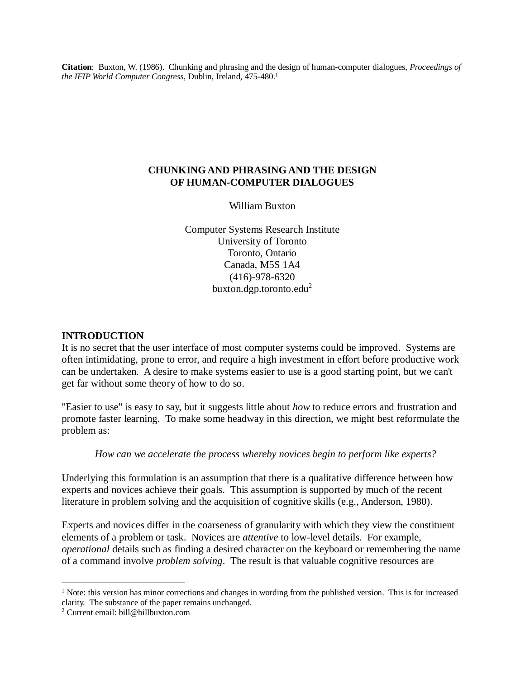**Citation**: Buxton, W. (1986). Chunking and phrasing and the design of human-computer dialogues, *Proceedings of the IFIP World Computer Congress*, Dublin, Ireland, 475-480.<sup>1</sup>

#### **CHUNKING AND PHRASING AND THE DESIGN OF HUMAN-COMPUTER DIALOGUES**

William Buxton

Computer Systems Research Institute University of Toronto Toronto, Ontario Canada, M5S 1A4 (416)-978-6320 buxton.dgp.toronto.edu<sup>2</sup>

#### **INTRODUCTION**

It is no secret that the user interface of most computer systems could be improved. Systems are often intimidating, prone to error, and require a high investment in effort before productive work can be undertaken. A desire to make systems easier to use is a good starting point, but we can't get far without some theory of how to do so.

"Easier to use" is easy to say, but it suggests little about *how* to reduce errors and frustration and promote faster learning. To make some headway in this direction, we might best reformulate the problem as:

*How can we accelerate the process whereby novices begin to perform like experts?*

Underlying this formulation is an assumption that there is a qualitative difference between how experts and novices achieve their goals. This assumption is supported by much of the recent literature in problem solving and the acquisition of cognitive skills (e.g., Anderson, 1980).

Experts and novices differ in the coarseness of granularity with which they view the constituent elements of a problem or task. Novices are *attentive* to low-level details. For example, *operational* details such as finding a desired character on the keyboard or remembering the name of a command involve *problem solving*. The result is that valuable cognitive resources are

 $\overline{a}$ 

 $1$  Note: this version has minor corrections and changes in wording from the published version. This is for increased clarity. The substance of the paper remains unchanged.

<sup>2</sup> Current email: [bill@billbuxton.com](mailto:bill@billbuxton.com)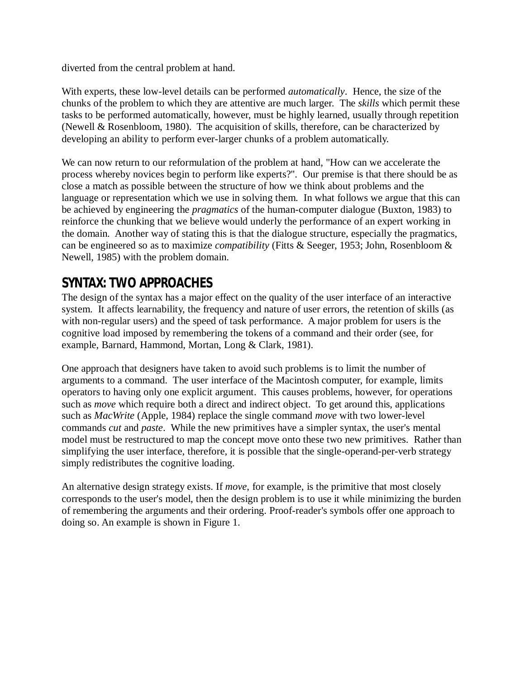diverted from the central problem at hand.

With experts, these low-level details can be performed *automatically*. Hence, the size of the chunks of the problem to which they are attentive are much larger. The *skills* which permit these tasks to be performed automatically, however, must be highly learned, usually through repetition (Newell & Rosenbloom, 1980). The acquisition of skills, therefore, can be characterized by developing an ability to perform ever-larger chunks of a problem automatically.

We can now return to our reformulation of the problem at hand, "How can we accelerate the process whereby novices begin to perform like experts?". Our premise is that there should be as close a match as possible between the structure of how we think about problems and the language or representation which we use in solving them. In what follows we argue that this can be achieved by engineering the *pragmatics* of the human-computer dialogue (Buxton, 1983) to reinforce the chunking that we believe would underly the performance of an expert working in the domain. Another way of stating this is that the dialogue structure, especially the pragmatics, can be engineered so as to maximize *compatibility* (Fitts & Seeger, 1953; John, Rosenbloom & Newell, 1985) with the problem domain.

### **SYNTAX: TWO APPROACHES**

The design of the syntax has a major effect on the quality of the user interface of an interactive system. It affects learnability, the frequency and nature of user errors, the retention of skills (as with non-regular users) and the speed of task performance. A major problem for users is the cognitive load imposed by remembering the tokens of a command and their order (see, for example, Barnard, Hammond, Mortan, Long & Clark, 1981).

One approach that designers have taken to avoid such problems is to limit the number of arguments to a command. The user interface of the Macintosh computer, for example, limits operators to having only one explicit argument. This causes problems, however, for operations such as *move* which require both a direct and indirect object. To get around this, applications such as *MacWrite* (Apple, 1984) replace the single command *move* with two lower-level commands *cut* and *paste*. While the new primitives have a simpler syntax, the user's mental model must be restructured to map the concept move onto these two new primitives. Rather than simplifying the user interface, therefore, it is possible that the single-operand-per-verb strategy simply redistributes the cognitive loading.

An alternative design strategy exists. If *move*, for example, is the primitive that most closely corresponds to the user's model, then the design problem is to use it while minimizing the burden of remembering the arguments and their ordering. Proof-reader's symbols offer one approach to doing so. An example is shown in Figure 1.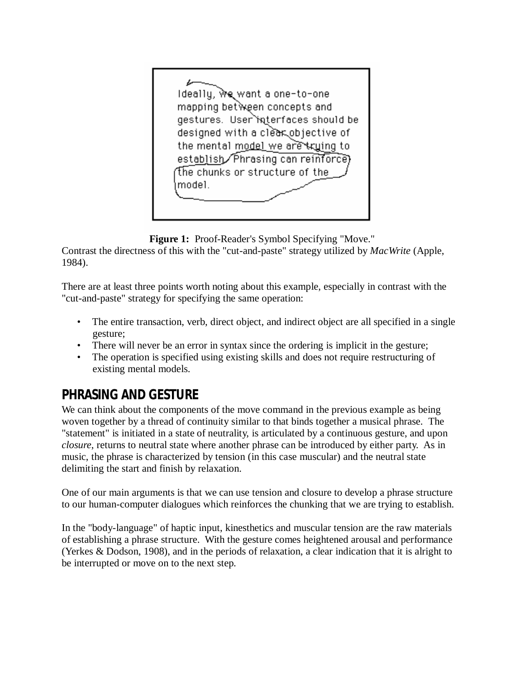Ideally, we want a one-to-one mapping between concepts and gestures. User interfaces should be designed with a clear objective of the mental model we are kruing to establish/Phrasing can reinforce) The chunks or structure of the model.

**Figure 1:** Proof-Reader's Symbol Specifying "Move."

Contrast the directness of this with the "cut-and-paste" strategy utilized by *MacWrite* (Apple, 1984).

There are at least three points worth noting about this example, especially in contrast with the "cut-and-paste" strategy for specifying the same operation:

- The entire transaction, verb, direct object, and indirect object are all specified in a single gesture;
- There will never be an error in syntax since the ordering is implicit in the gesture;
- The operation is specified using existing skills and does not require restructuring of existing mental models.

# **PHRASING AND GESTURE**

We can think about the components of the move command in the previous example as being woven together by a thread of continuity similar to that binds together a musical phrase. The "statement" is initiated in a state of neutrality, is articulated by a continuous gesture, and upon *closure*, returns to neutral state where another phrase can be introduced by either party. As in music, the phrase is characterized by tension (in this case muscular) and the neutral state delimiting the start and finish by relaxation.

One of our main arguments is that we can use tension and closure to develop a phrase structure to our human-computer dialogues which reinforces the chunking that we are trying to establish.

In the "body-language" of haptic input, kinesthetics and muscular tension are the raw materials of establishing a phrase structure. With the gesture comes heightened arousal and performance (Yerkes & Dodson, 1908), and in the periods of relaxation, a clear indication that it is alright to be interrupted or move on to the next step.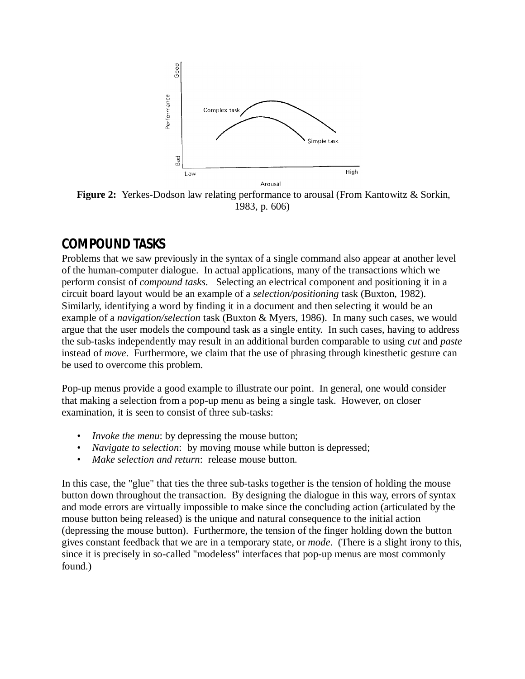

**Figure 2:** Yerkes-Dodson law relating performance to arousal (From Kantowitz & Sorkin, 1983, p. 606)

### **COMPOUND TASKS**

Problems that we saw previously in the syntax of a single command also appear at another level of the human-computer dialogue. In actual applications, many of the transactions which we perform consist of *compound tasks*. Selecting an electrical component and positioning it in a circuit board layout would be an example of a *selection/positioning* task (Buxton, 1982). Similarly, identifying a word by finding it in a document and then selecting it would be an example of a *navigation/selection* task (Buxton & Myers, 1986). In many such cases, we would argue that the user models the compound task as a single entity. In such cases, having to address the sub-tasks independently may result in an additional burden comparable to using *cut* and *paste* instead of *move*. Furthermore, we claim that the use of phrasing through kinesthetic gesture can be used to overcome this problem.

Pop-up menus provide a good example to illustrate our point. In general, one would consider that making a selection from a pop-up menu as being a single task. However, on closer examination, it is seen to consist of three sub-tasks:

- *Invoke the menu*: by depressing the mouse button;
- *Navigate to selection*: by moving mouse while button is depressed;
- *Make selection and return*: release mouse button.

In this case, the "glue" that ties the three sub-tasks together is the tension of holding the mouse button down throughout the transaction. By designing the dialogue in this way, errors of syntax and mode errors are virtually impossible to make since the concluding action (articulated by the mouse button being released) is the unique and natural consequence to the initial action (depressing the mouse button). Furthermore, the tension of the finger holding down the button gives constant feedback that we are in a temporary state, or *mode*. (There is a slight irony to this, since it is precisely in so-called "modeless" interfaces that pop-up menus are most commonly found.)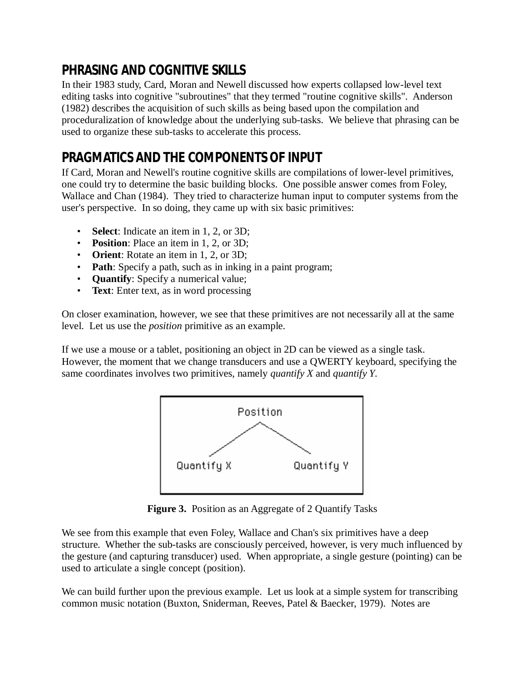# **PHRASING AND COGNITIVE SKILLS**

In their 1983 study, Card, Moran and Newell discussed how experts collapsed low-level text editing tasks into cognitive "subroutines" that they termed "routine cognitive skills". Anderson (1982) describes the acquisition of such skills as being based upon the compilation and proceduralization of knowledge about the underlying sub-tasks. We believe that phrasing can be used to organize these sub-tasks to accelerate this process.

# **PRAGMATICS AND THE COMPONENTS OF INPUT**

If Card, Moran and Newell's routine cognitive skills are compilations of lower-level primitives, one could try to determine the basic building blocks. One possible answer comes from Foley, Wallace and Chan (1984). They tried to characterize human input to computer systems from the user's perspective. In so doing, they came up with six basic primitives:

- **Select**: Indicate an item in 1, 2, or 3D;
- **Position**: Place an item in 1, 2, or 3D;
- **Orient**: Rotate an item in 1, 2, or 3D;
- **Path**: Specify a path, such as in inking in a paint program;
- **Quantify**: Specify a numerical value;
- **Text**: Enter text, as in word processing

On closer examination, however, we see that these primitives are not necessarily all at the same level. Let us use the *position* primitive as an example.

If we use a mouse or a tablet, positioning an object in 2D can be viewed as a single task. However, the moment that we change transducers and use a QWERTY keyboard, specifying the same coordinates involves two primitives, namely *quantify X* and *quantify Y*.



**Figure 3.** Position as an Aggregate of 2 Quantify Tasks

We see from this example that even Foley, Wallace and Chan's six primitives have a deep structure. Whether the sub-tasks are consciously perceived, however, is very much influenced by the gesture (and capturing transducer) used. When appropriate, a single gesture (pointing) can be used to articulate a single concept (position).

We can build further upon the previous example. Let us look at a simple system for transcribing common music notation (Buxton, Sniderman, Reeves, Patel & Baecker, 1979). Notes are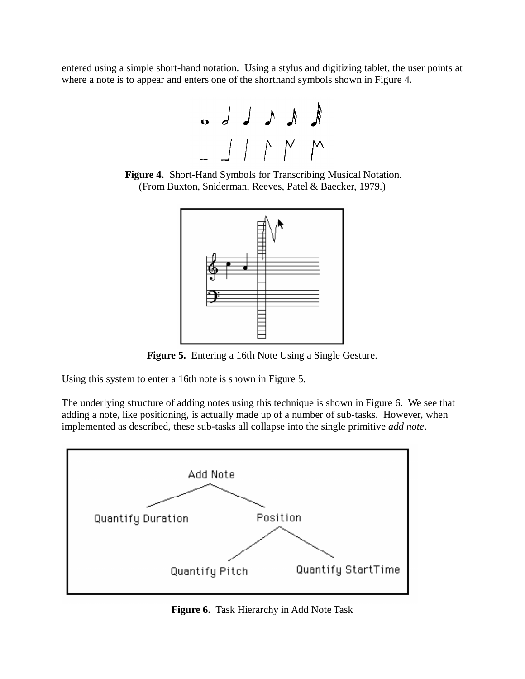entered using a simple short-hand notation. Using a stylus and digitizing tablet, the user points at where a note is to appear and enters one of the shorthand symbols shown in Figure 4.







**Figure 5.** Entering a 16th Note Using a Single Gesture.

Using this system to enter a 16th note is shown in Figure 5.

The underlying structure of adding notes using this technique is shown in Figure 6. We see that adding a note, like positioning, is actually made up of a number of sub-tasks. However, when implemented as described, these sub-tasks all collapse into the single primitive *add note*.



**Figure 6.** Task Hierarchy in Add Note Task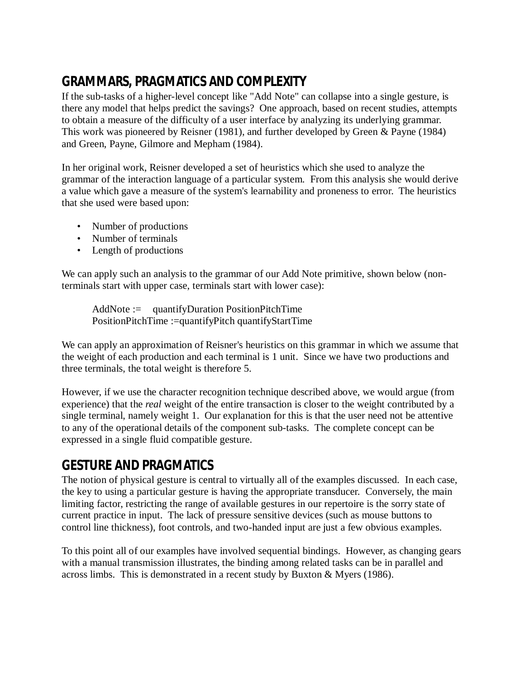# **GRAMMARS, PRAGMATICS AND COMPLEXITY**

If the sub-tasks of a higher-level concept like "Add Note" can collapse into a single gesture, is there any model that helps predict the savings? One approach, based on recent studies, attempts to obtain a measure of the difficulty of a user interface by analyzing its underlying grammar. This work was pioneered by Reisner (1981), and further developed by Green & Payne (1984) and Green, Payne, Gilmore and Mepham (1984).

In her original work, Reisner developed a set of heuristics which she used to analyze the grammar of the interaction language of a particular system. From this analysis she would derive a value which gave a measure of the system's learnability and proneness to error. The heuristics that she used were based upon:

- Number of productions
- Number of terminals
- Length of productions

We can apply such an analysis to the grammar of our Add Note primitive, shown below (nonterminals start with upper case, terminals start with lower case):

AddNote := quantifyDuration PositionPitchTime PositionPitchTime :=quantifyPitch quantifyStartTime

We can apply an approximation of Reisner's heuristics on this grammar in which we assume that the weight of each production and each terminal is 1 unit. Since we have two productions and three terminals, the total weight is therefore 5.

However, if we use the character recognition technique described above, we would argue (from experience) that the *real* weight of the entire transaction is closer to the weight contributed by a single terminal, namely weight 1. Our explanation for this is that the user need not be attentive to any of the operational details of the component sub-tasks. The complete concept can be expressed in a single fluid compatible gesture.

## **GESTURE AND PRAGMATICS**

The notion of physical gesture is central to virtually all of the examples discussed. In each case, the key to using a particular gesture is having the appropriate transducer. Conversely, the main limiting factor, restricting the range of available gestures in our repertoire is the sorry state of current practice in input. The lack of pressure sensitive devices (such as mouse buttons to control line thickness), foot controls, and two-handed input are just a few obvious examples.

To this point all of our examples have involved sequential bindings. However, as changing gears with a manual transmission illustrates, the binding among related tasks can be in parallel and across limbs. This is demonstrated in a recent study by Buxton & Myers (1986).